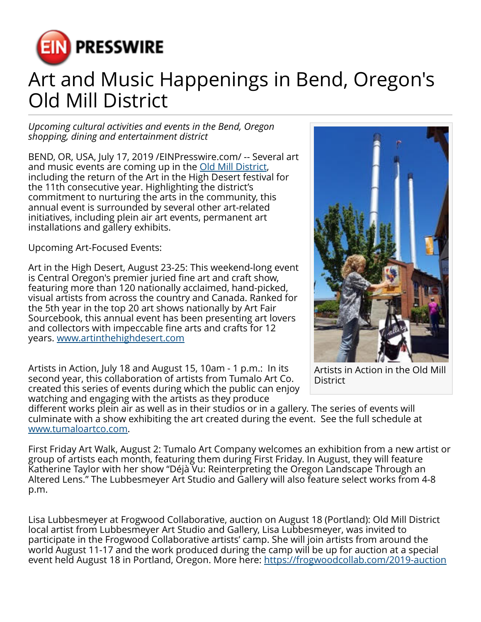

## Art and Music Happenings in Bend, Oregon's Old Mill District

*Upcoming cultural activities and events in the Bend, Oregon shopping, dining and entertainment district*

BEND, OR, USA, July 17, 2019 /[EINPresswire.com](http://www.einpresswire.com)/ -- Several art and music events are coming up in the **Old Mill District**, including the return of the Art in the High Desert festival for the 11th consecutive year. Highlighting the district's commitment to nurturing the arts in the community, this annual event is surrounded by several other art-related initiatives, including plein air art events, permanent art installations and gallery exhibits.

Upcoming Art-Focused Events:

Art in the High Desert, August 23-25: This weekend-long event is Central Oregon's premier juried fine art and craft show, featuring more than 120 nationally acclaimed, hand-picked, visual artists from across the country and Canada. Ranked for the 5th year in the top 20 art shows nationally by Art Fair Sourcebook, this annual event has been presenting art lovers and collectors with impeccable fine arts and crafts for 12 years. [www.artinthehighdesert.com](http://www.artinthehighdesert.com)

Artists in Action, July 18 and August 15, 10am - 1 p.m.: In its second year, this collaboration of artists from Tumalo Art Co. created this series of events during which the public can enjoy watching and engaging with the artists as they produce



Artists in Action in the Old Mill **District** 

different works plein air as well as in their studios or in a gallery. The series of events will culminate with a show exhibiting the art created during the event. See the full schedule at [www.tumaloartco.com](http://www.tumaloartco.com).

First Friday Art Walk, August 2: Tumalo Art Company welcomes an exhibition from a new artist or group of artists each month, featuring them during First Friday. In August, they will feature Katherine Taylor with her show "Déjà Vu: Reinterpreting the Oregon Landscape Through an Altered Lens." The Lubbesmeyer Art Studio and Gallery will also feature select works from 4-8 p.m.

Lisa Lubbesmeyer at Frogwood Collaborative, auction on August 18 (Portland): Old Mill District local artist from Lubbesmeyer Art Studio and Gallery, Lisa Lubbesmeyer, was invited to participate in the Frogwood Collaborative artists' camp. She will join artists from around the world August 11-17 and the work produced during the camp will be up for auction at a special event held August 18 in Portland, Oregon. More here:<https://frogwoodcollab.com/2019-auction>